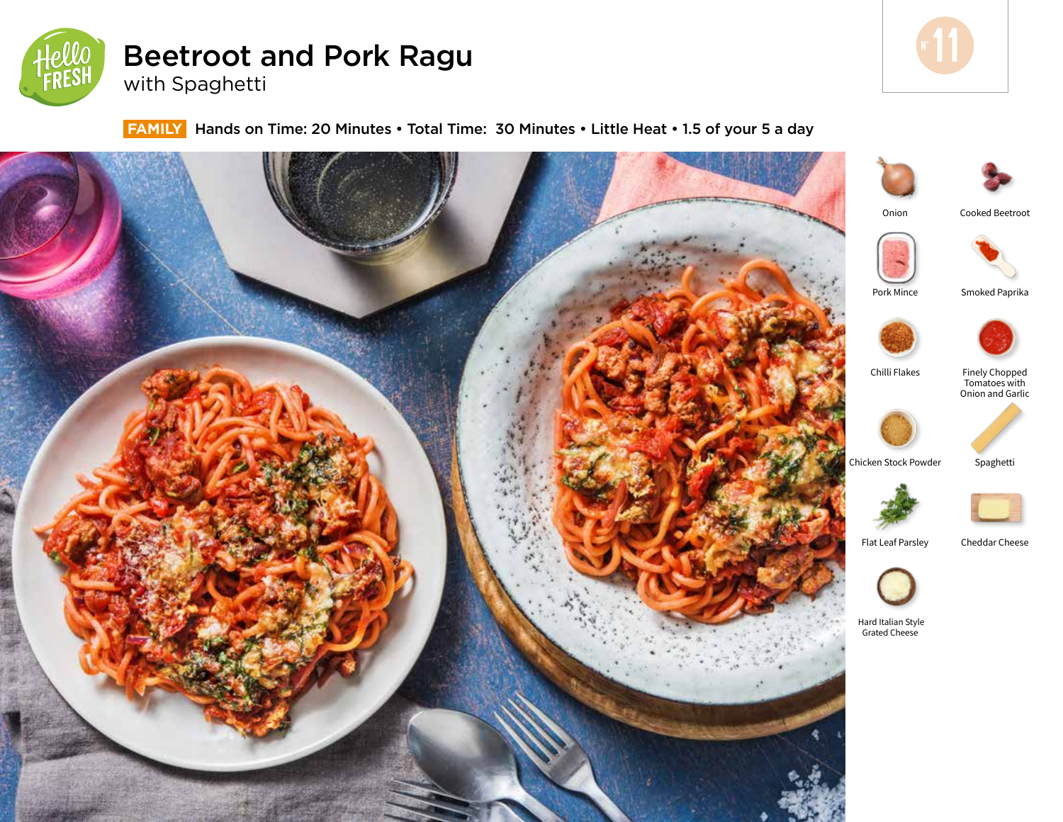

# Beetroot and Pork Ragu with Spaghetti



 **FAMILY** Hands on Time: 20 Minutes • Total Time: 30 Minutes • Little Heat • 1.5 of your 5 a day